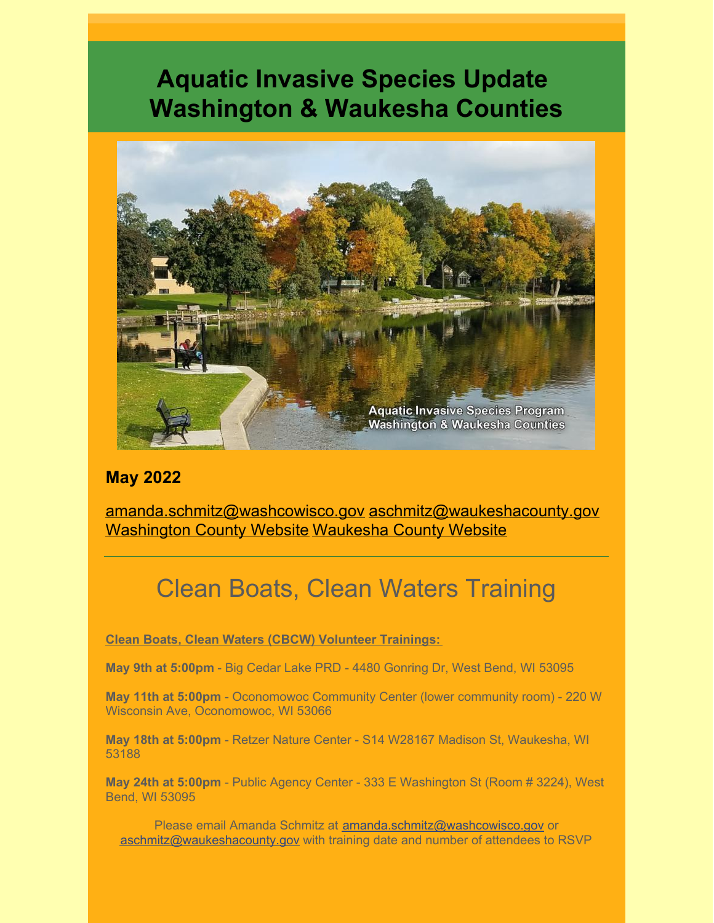# **Aquatic Invasive Species Update Washington & Waukesha Counties**



### **May 2022**

[amanda.schmitz@washcowisco.gov](mailto:amanda.schmitz@washcowisco.gov) [aschmitz@waukeshacounty.gov](mailto:aschmitz@waukeshacounty.gov) [Washington County Website](https://www.washcowisco.gov/departments/planning_and_parks/land_resources) [Waukesha County Website](https://www.waukeshacounty.gov/ais/)

# Clean Boats, Clean Waters Training

**Clean Boats, Clean Waters (CBCW) Volunteer Trainings:**

**May 9th at 5:00pm** - Big Cedar Lake PRD - 4480 Gonring Dr, West Bend, WI 53095

**May 11th at 5:00pm** - Oconomowoc Community Center (lower community room) - 220 W Wisconsin Ave, Oconomowoc, WI 53066

**May 18th at 5:00pm** - Retzer Nature Center - S14 W28167 Madison St, Waukesha, WI 53188

**May 24th at 5:00pm** - Public Agency Center - 333 E Washington St (Room # 3224), West Bend, WI 53095

Please email Amanda Schmitz at **amanda.schmitz@washcowisco.gov** or [aschmitz@waukeshacounty.gov](mailto:aschmitz@waukeshacounty.gov) with training date and number of attendees to RSVP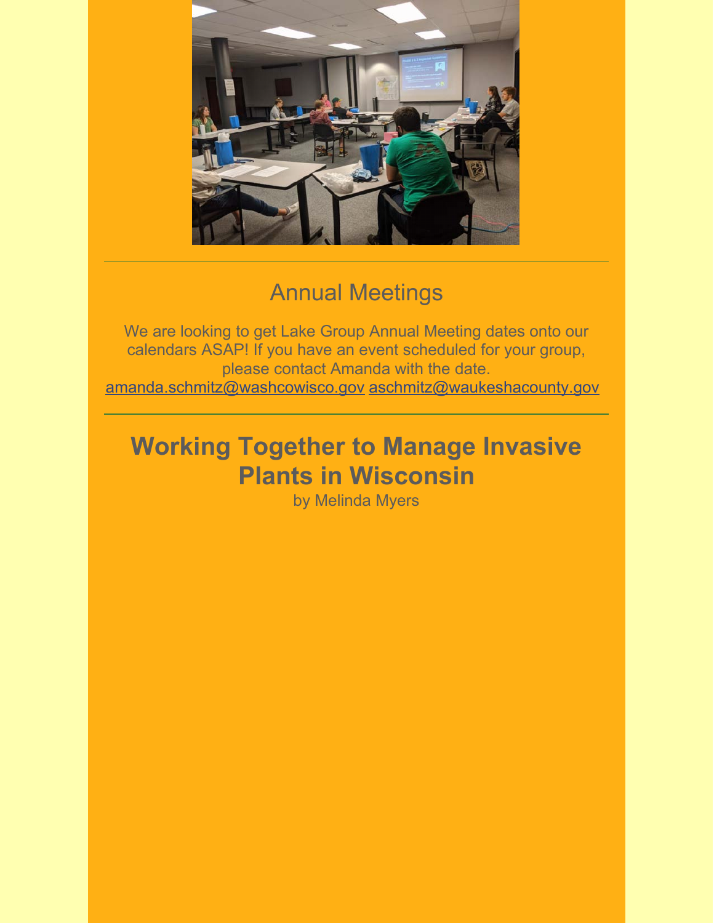

# Annual Meetings

We are looking to get Lake Group Annual Meeting dates onto our calendars ASAP! If you have an event scheduled for your group, please contact Amanda with the date. [amanda.schmitz@washcowisco.gov](mailto:amanda.schmitz@washcowisco.gov) [aschmitz@waukeshacounty.gov](mailto:aschmitz@waukeshacounty.gov)

# **Working Together to Manage Invasive Plants in Wisconsin**

by Melinda Myers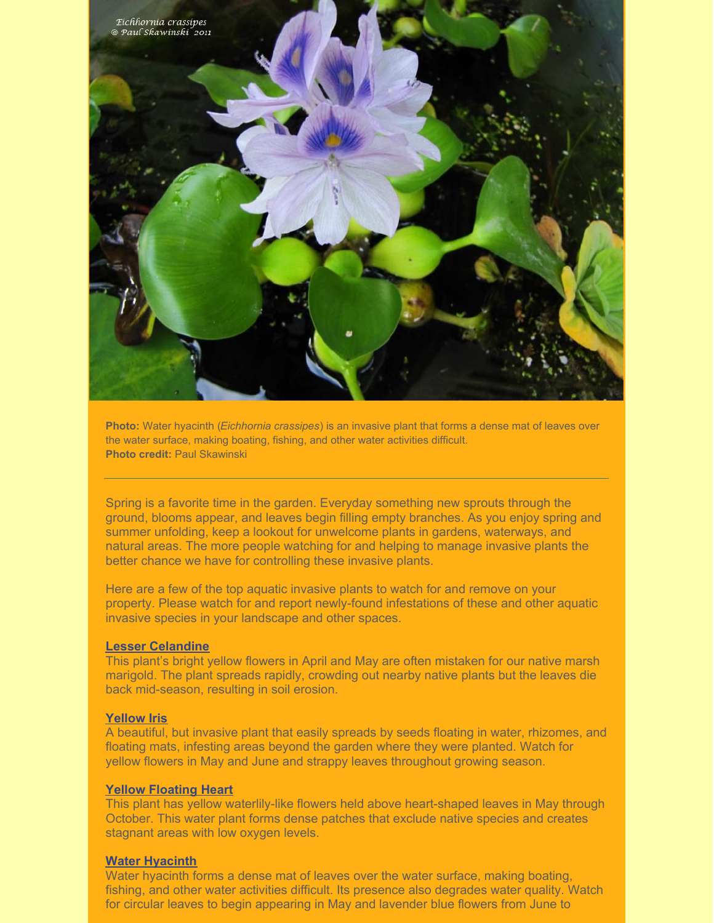

**Photo:** Water hyacinth (*Eichhornia crassipes*) is an invasive plant that forms a dense mat of leaves over the water surface, making boating, fishing, and other water activities difficult. **Photo credit:** Paul Skawinski

Spring is a favorite time in the garden. Everyday something new sprouts through the ground, blooms appear, and leaves begin filling empty branches. As you enjoy spring and summer unfolding, keep a lookout for unwelcome plants in gardens, waterways, and natural areas. The more people watching for and helping to manage invasive plants the better chance we have for controlling these invasive plants.

Here are a few of the top aquatic invasive plants to watch for and remove on your property. Please watch for and report newly-found infestations of these and other aquatic invasive species in your landscape and other spaces.

#### **[Lesser Celandine](https://dnr.wisconsin.gov/topic/Invasives/fact/LesserCelandine.html)**

This plant's bright yellow flowers in April and May are often mistaken for our native marsh marigold. The plant spreads rapidly, crowding out nearby native plants but the leaves die back mid-season, resulting in soil erosion.

#### **[Yellow Iris](https://dnr.wisconsin.gov/topic/Invasives/fact/YellowFlagIris.html)**

A beautiful, but invasive plant that easily spreads by seeds floating in water, rhizomes, and floating mats, infesting areas beyond the garden where they were planted. Watch for yellow flowers in May and June and strappy leaves throughout growing season.

#### **[Yellow Floating Heart](https://dnr.wisconsin.gov/topic/Invasives/fact/YellowFloatingHeart.html)**

This plant has yellow waterlily-like flowers held above heart-shaped leaves in May through October. This water plant forms dense patches that exclude native species and creates stagnant areas with low oxygen levels.

#### **[Water Hyacinth](https://dnr.wisconsin.gov/topic/Invasives/fact/WaterHyacinth.html)**

Water hyacinth forms a dense mat of leaves over the water surface, making boating, fishing, and other water activities difficult. Its presence also degrades water quality. Watch for circular leaves to begin appearing in May and lavender blue flowers from June to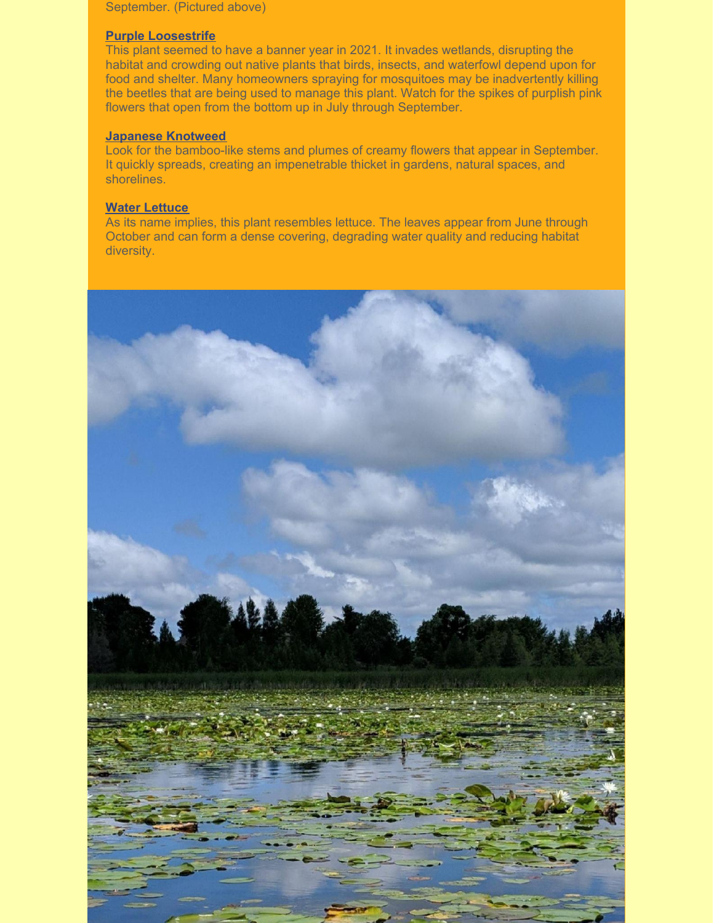September. (Pictured above)

### **[Purple Loosestrife](https://dnr.wisconsin.gov/topic/Invasives/fact/PurpleLoosestrife.html)**

This plant seemed to have a banner year in 2021. It invades wetlands, disrupting the habitat and crowding out native plants that birds, insects, and waterfowl depend upon for food and shelter. Many homeowners spraying for mosquitoes may be inadvertently killing the beetles that are being used to manage this plant. Watch for the spikes of purplish pink flowers that open from the bottom up in July through September.

### **[Japanese Knotweed](https://dnr.wisconsin.gov/topic/Invasives/fact/JapaneseKnotweed.html)**

Look for the bamboo-like stems and plumes of creamy flowers that appear in September. It quickly spreads, creating an impenetrable thicket in gardens, natural spaces, and shorelines.

### **[Water Lettuce](https://dnr.wisconsin.gov/topic/Invasives/fact/WaterLettuce.html)**

As its name implies, this plant resembles lettuce. The leaves appear from June through October and can form a dense covering, degrading water quality and reducing habitat diversity.

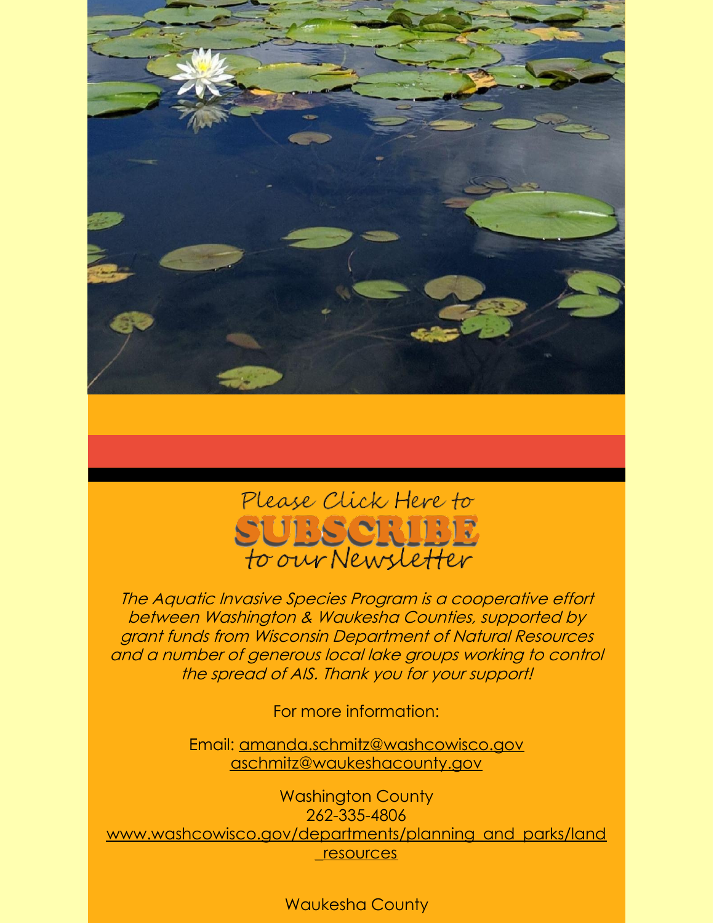



The Aquatic Invasive Species Program is a cooperative effort between Washington & Waukesha Counties, supported by grant funds from Wisconsin Department of Natural Resources and a number of generous local lake groups working to control the spread of AIS. Thank you for your support!

For more information:

Email: [amanda.schmitz@washcowisco.gov](mailto:amanda.schmitz@washcowisco.gov) [aschmitz@waukeshacounty.gov](mailto:aschmitz@waukeshacounty.gov)

Washington County 262-335-4806 www.washcowisco.gov/departments/planning\_and\_parks/land \_resources

Waukesha County